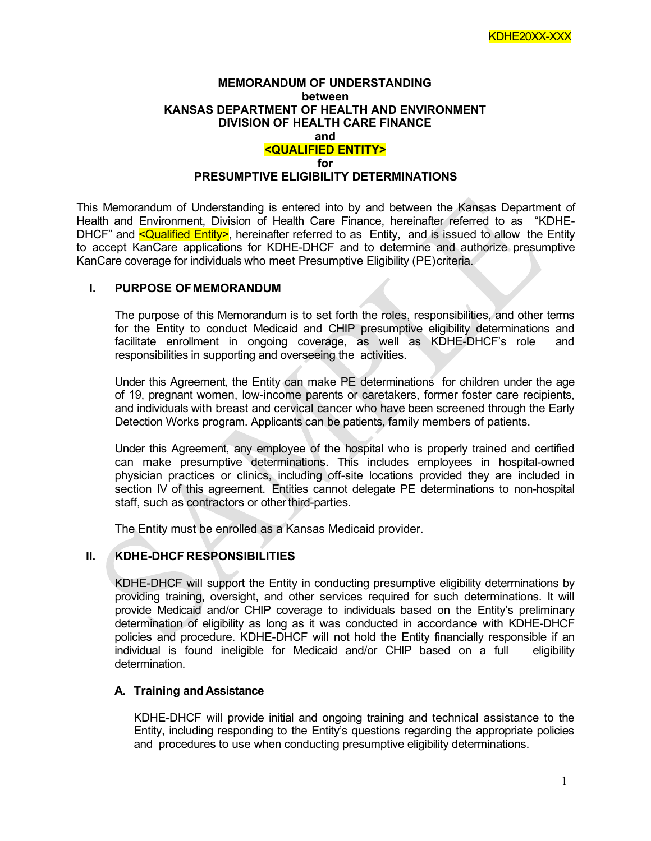#### **MEMORANDUM OF UNDERSTANDING between KANSAS DEPARTMENT OF HEALTH AND ENVIRONMENT DIVISION OF HEALTH CARE FINANCE and <QUALIFIED ENTITY> for**

## **PRESUMPTIVE ELIGIBILITY DETERMINATIONS**

This Memorandum of Understanding is entered into by and between the Kansas Department of Health and Environment, Division of Health Care Finance, hereinafter referred to as "KDHE-DHCF" and **<Qualified Entity>**, hereinafter referred to as Entity, and is issued to allow the Entity to accept KanCare applications for KDHE-DHCF and to determine and authorize presumptive KanCare coverage for individuals who meet Presumptive Eligibility (PE)criteria.

## **I. PURPOSE OFMEMORANDUM**

The purpose of this Memorandum is to set forth the roles, responsibilities, and other terms for the Entity to conduct Medicaid and CHIP presumptive eligibility determinations and facilitate enrollment in ongoing coverage, as well as KDHE-DHCF's role and responsibilities in supporting and overseeing the activities.

Under this Agreement, the Entity can make PE determinations for children under the age of 19, pregnant women, low-income parents or caretakers, former foster care recipients, and individuals with breast and cervical cancer who have been screened through the Early Detection Works program. Applicants can be patients, family members of patients.

Under this Agreement, any employee of the hospital who is properly trained and certified can make presumptive determinations. This includes employees in hospital-owned physician practices or clinics, including off-site locations provided they are included in section IV of this agreement. Entities cannot delegate PE determinations to non-hospital staff, such as contractors or other third-parties.

The Entity must be enrolled as a Kansas Medicaid provider.

# **II. KDHE-DHCF RESPONSIBILITIES**

KDHE-DHCF will support the Entity in conducting presumptive eligibility determinations by providing training, oversight, and other services required for such determinations. It will provide Medicaid and/or CHIP coverage to individuals based on the Entity's preliminary determination of eligibility as long as it was conducted in accordance with KDHE-DHCF policies and procedure. KDHE-DHCF will not hold the Entity financially responsible if an individual is found ineligible for Medicaid and/or CHIP based on a full eligibility determination.

#### **A. Training and Assistance**

KDHE-DHCF will provide initial and ongoing training and technical assistance to the Entity, including responding to the Entity's questions regarding the appropriate policies and procedures to use when conducting presumptive eligibility determinations.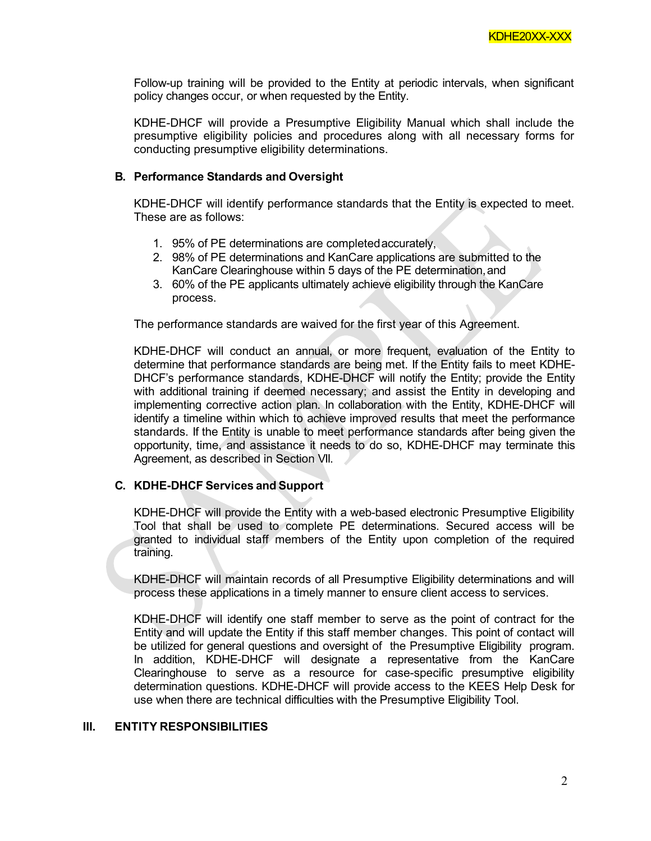Follow-up training will be provided to the Entity at periodic intervals, when significant policy changes occur, or when requested by the Entity.

KDHE-DHCF will provide a Presumptive Eligibility Manual which shall include the presumptive eligibility policies and procedures along with all necessary forms for conducting presumptive eligibility determinations.

## **B. Performance Standards and Oversight**

KDHE-DHCF will identify performance standards that the Entity is expected to meet. These are as follows:

- 1. 95% of PE determinations are completedaccurately,
- 2. 98% of PE determinations and KanCare applications are submitted to the KanCare Clearinghouse within 5 days of the PE determination,and
- 3. 60% of the PE applicants ultimately achieve eligibility through the KanCare process.

The performance standards are waived for the first year of this Agreement.

KDHE-DHCF will conduct an annual, or more frequent, evaluation of the Entity to determine that performance standards are being met. If the Entity fails to meet KDHE-DHCF's performance standards, KDHE-DHCF will notify the Entity; provide the Entity with additional training if deemed necessary; and assist the Entity in developing and implementing corrective action plan. In collaboration with the Entity, KDHE-DHCF will identify a timeline within which to achieve improved results that meet the performance standards. If the Entity is unable to meet performance standards after being given the opportunity, time, and assistance it needs to do so, KDHE-DHCF may terminate this Agreement, as described in Section VII.

# **C. KDHE-DHCF Services and Support**

KDHE-DHCF will provide the Entity with a web-based electronic Presumptive Eligibility Tool that shall be used to complete PE determinations. Secured access will be granted to individual staff members of the Entity upon completion of the required training.

KDHE-DHCF will maintain records of all Presumptive Eligibility determinations and will process these applications in a timely manner to ensure client access to services.

KDHE-DHCF will identify one staff member to serve as the point of contract for the Entity and will update the Entity if this staff member changes. This point of contact will be utilized for general questions and oversight of the Presumptive Eligibility program. In addition, KDHE-DHCF will designate a representative from the KanCare Clearinghouse to serve as a resource for case-specific presumptive eligibility determination questions. KDHE-DHCF will provide access to the KEES Help Desk for use when there are technical difficulties with the Presumptive Eligibility Tool.

#### **III. ENTITY RESPONSIBILITIES**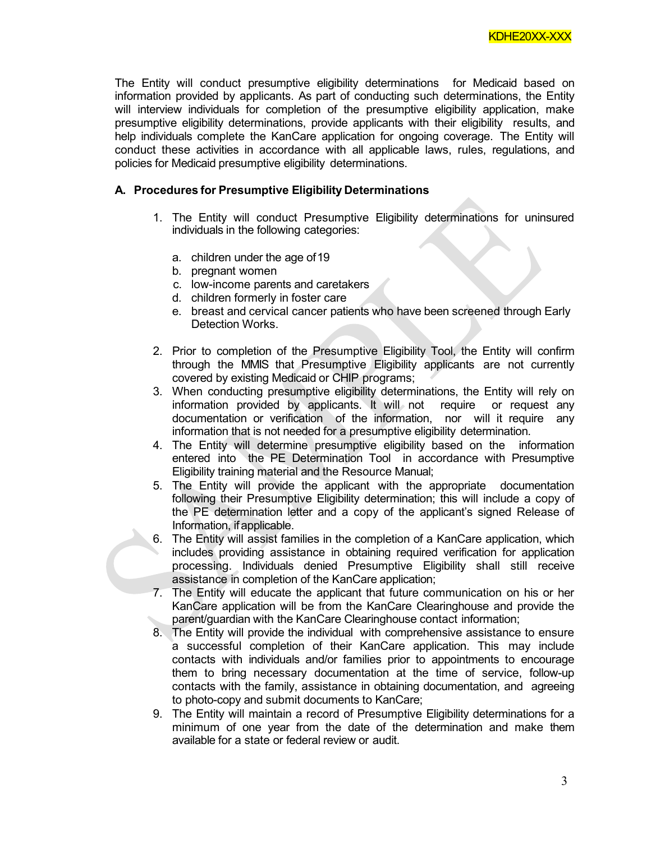The Entity will conduct presumptive eligibility determinations for Medicaid based on information provided by applicants. As part of conducting such determinations, the Entity will interview individuals for completion of the presumptive eligibility application, make presumptive eligibility determinations, provide applicants with their eligibility results, and help individuals complete the KanCare application for ongoing coverage. The Entity will conduct these activities in accordance with all applicable laws, rules, regulations, and policies for Medicaid presumptive eligibility determinations.

# **A. Procedures for Presumptive Eligibility Determinations**

- 1. The Entity will conduct Presumptive Eligibility determinations for uninsured individuals in the following categories:
	- a. children under the age of19
	- b. pregnant women
	- c. low-income parents and caretakers
	- d. children formerly in foster care
	- e. breast and cervical cancer patients who have been screened through Early Detection Works.
- 2. Prior to completion of the Presumptive Eligibility Tool, the Entity will confirm through the MMIS that Presumptive Eligibility applicants are not currently covered by existing Medicaid or CHIP programs;
- 3. When conducting presumptive eligibility determinations, the Entity will rely on information provided by applicants. It will not require or request any documentation or verification of the information, nor will it require any information that is not needed for a presumptive eligibility determination.
- 4. The Entity will determine presumptive eligibility based on the information entered into the PE Determination Tool in accordance with Presumptive Eligibility training material and the Resource Manual;
- 5. The Entity will provide the applicant with the appropriate documentation following their Presumptive Eligibility determination; this will include a copy of the PE determination letter and a copy of the applicant's signed Release of Information, ifapplicable.
- 6. The Entity will assist families in the completion of a KanCare application, which includes providing assistance in obtaining required verification for application processing. Individuals denied Presumptive Eligibility shall still receive assistance in completion of the KanCare application;
- 7. The Entity will educate the applicant that future communication on his or her KanCare application will be from the KanCare Clearinghouse and provide the parent/guardian with the KanCare Clearinghouse contact information;
- 8. The Entity will provide the individual with comprehensive assistance to ensure a successful completion of their KanCare application. This may include contacts with individuals and/or families prior to appointments to encourage them to bring necessary documentation at the time of service, follow-up contacts with the family, assistance in obtaining documentation, and agreeing to photo-copy and submit documents to KanCare;
- 9. The Entity will maintain a record of Presumptive Eligibility determinations for a minimum of one year from the date of the determination and make them available for a state or federal review or audit.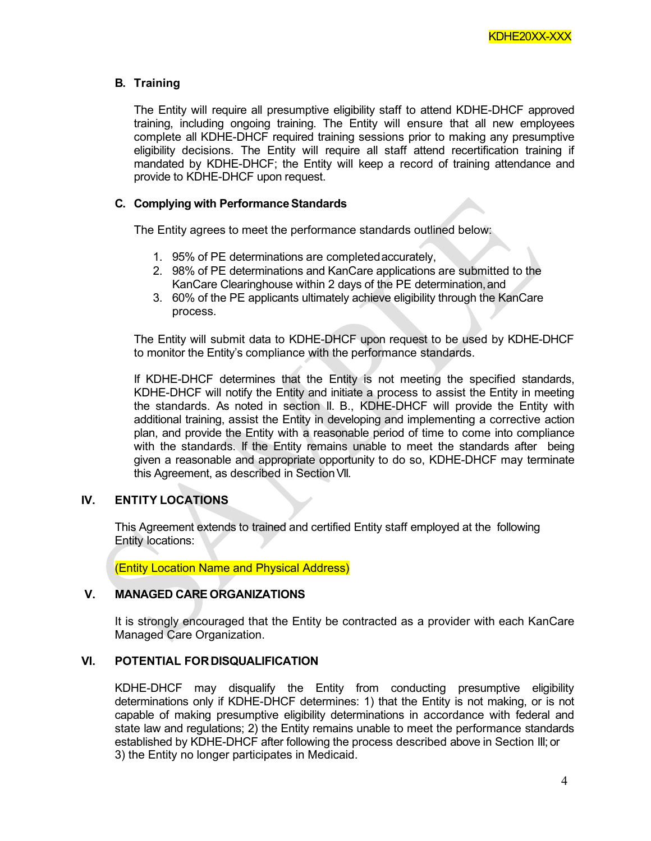# **B. Training**

The Entity will require all presumptive eligibility staff to attend KDHE-DHCF approved training, including ongoing training. The Entity will ensure that all new employees complete all KDHE-DHCF required training sessions prior to making any presumptive eligibility decisions. The Entity will require all staff attend recertification training if mandated by KDHE-DHCF; the Entity will keep a record of training attendance and provide to KDHE-DHCF upon request.

# **C.** Complying with Performance Standards

The Entity agrees to meet the performance standards outlined below:

- 1. 95% of PE determinations are completedaccurately,
- 2. 98% of PE determinations and KanCare applications are submitted to the KanCare Clearinghouse within 2 days of the PE determination,and
- 3. 60% of the PE applicants ultimately achieve eligibility through the KanCare process.

The Entity will submit data to KDHE-DHCF upon request to be used by KDHE-DHCF to monitor the Entity's compliance with the performance standards.

If KDHE-DHCF determines that the Entity is not meeting the specified standards, KDHE-DHCF will notify the Entity and initiate a process to assist the Entity in meeting the standards. As noted in section II. B., KDHE-DHCF will provide the Entity with additional training, assist the Entity in developing and implementing a corrective action plan, and provide the Entity with a reasonable period of time to come into compliance with the standards. If the Entity remains unable to meet the standards after being given a reasonable and appropriate opportunity to do so, KDHE-DHCF may terminate this Agreement, as described in Section VII.

# **IV. ENTITY LOCATIONS**

This Agreement extends to trained and certified Entity staff employed at the following Entity locations:

(Entity Location Name and Physical Address)

# **V. MANAGED CARE ORGANIZATIONS**

It is strongly encouraged that the Entity be contracted as a provider with each KanCare Managed Care Organization.

# **VI. POTENTIAL FORDISQUALIFICATION**

KDHE-DHCF may disqualify the Entity from conducting presumptive eligibility determinations only if KDHE-DHCF determines: 1) that the Entity is not making, or is not capable of making presumptive eligibility determinations in accordance with federal and state law and regulations; 2) the Entity remains unable to meet the performance standards established by KDHE-DHCF after following the process described above in Section III; or 3) the Entity no longer participates in Medicaid.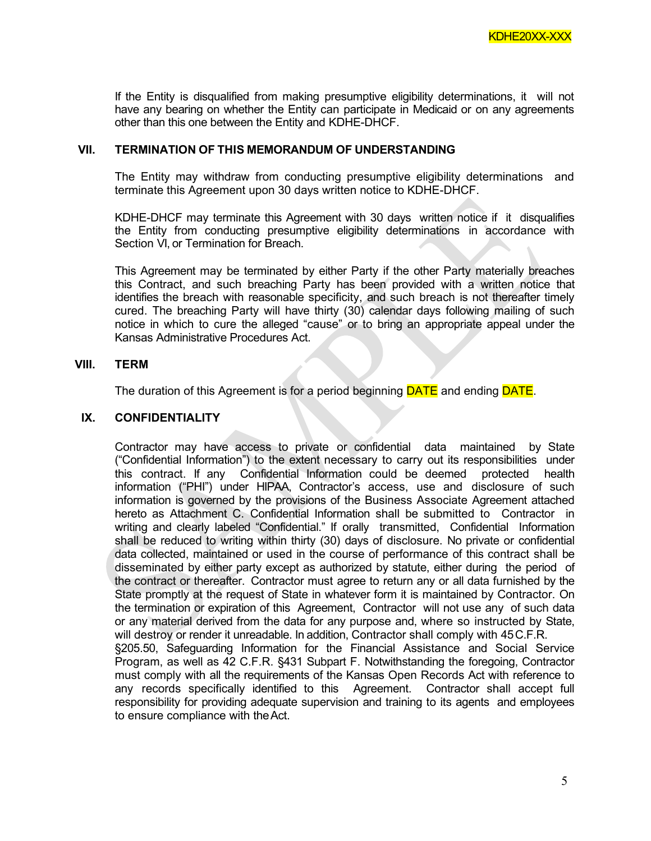If the Entity is disqualified from making presumptive eligibility determinations, it will not have any bearing on whether the Entity can participate in Medicaid or on any agreements other than this one between the Entity and KDHE-DHCF.

## **VII. TERMINATION OF THIS MEMORANDUM OF UNDERSTANDING**

The Entity may withdraw from conducting presumptive eligibility determinations and terminate this Agreement upon 30 days written notice to KDHE-DHCF.

KDHE-DHCF may terminate this Agreement with 30 days written notice if it disqualifies the Entity from conducting presumptive eligibility determinations in accordance with Section VI, or Termination for Breach.

This Agreement may be terminated by either Party if the other Party materially breaches this Contract, and such breaching Party has been provided with a written notice that identifies the breach with reasonable specificity, and such breach is not thereafter timely cured. The breaching Party will have thirty (30) calendar days following mailing of such notice in which to cure the alleged "cause" or to bring an appropriate appeal under the Kansas Administrative Procedures Act.

#### **VIII. TERM**

The duration of this Agreement is for a period beginning **DATE** and ending **DATE**.

## **IX. CONFIDENTIALITY**

Contractor may have access to private or confidential data maintained by State ("Confidential Information") to the extent necessary to carry out its responsibilities under this contract. If any Confidential Information could be deemed protected health information ("PHI") under HIPAA, Contractor's access, use and disclosure of such information is governed by the provisions of the Business Associate Agreement attached hereto as Attachment C. Confidential Information shall be submitted to Contractor in writing and clearly labeled "Confidential." If orally transmitted, Confidential Information shall be reduced to writing within thirty (30) days of disclosure. No private or confidential data collected, maintained or used in the course of performance of this contract shall be disseminated by either party except as authorized by statute, either during the period of the contract or thereafter. Contractor must agree to return any or all data furnished by the State promptly at the request of State in whatever form it is maintained by Contractor. On the termination or expiration of this Agreement, Contractor will not use any of such data or any material derived from the data for any purpose and, where so instructed by State, will destroy or render it unreadable. In addition, Contractor shall comply with 45C.F.R. §205.50, Safeguarding Information for the Financial Assistance and Social Service Program, as well as 42 C.F.R. §431 Subpart F. Notwithstanding the foregoing, Contractor must comply with all the requirements of the Kansas Open Records Act with reference to any records specifically identified to this Agreement. Contractor shall accept full responsibility for providing adequate supervision and training to its agents and employees to ensure compliance with theAct.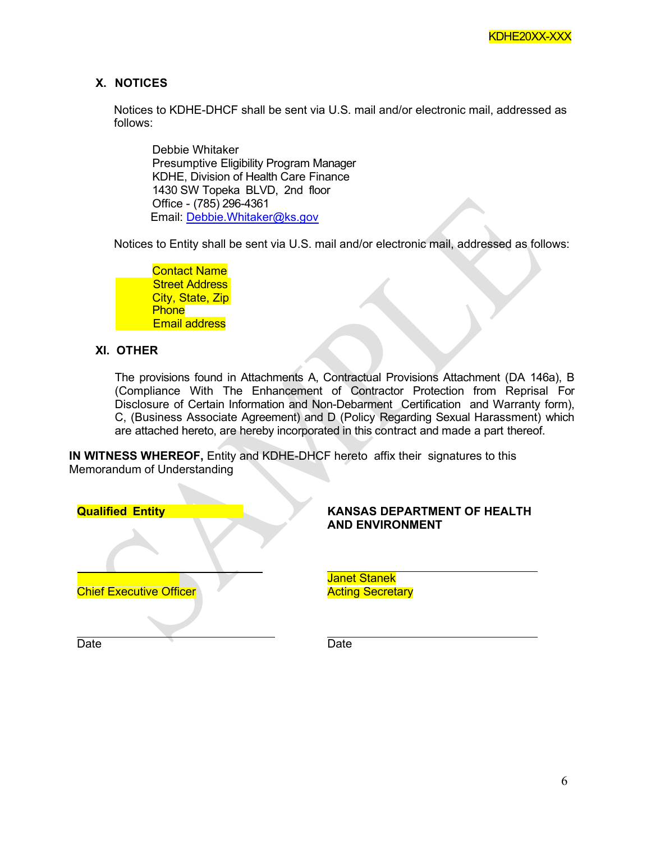# **X. NOTICES**

Notices to KDHE-DHCF shall be sent via U.S. mail and/or electronic mail, addressed as follows:

Debbie Whitaker Presumptive Eligibility Program Manager KDHE, Division of Health Care Finance 1430 SW Topeka BLVD, 2nd floor Office - (785) 296-4361 Email: [Debbie.Whitaker@ks.gov](mailto:Debbie.Whitaker@ks.gov)

Notices to Entity shall be sent via U.S. mail and/or electronic mail, addressed as follows:

Contact Name **Phone** Email address City, State, Zip **Street Address** 

# **XI. OTHER**

The provisions found in Attachments A, Contractual Provisions Attachment (DA 146a), B (Compliance With The Enhancement of Contractor Protection from Reprisal For Disclosure of Certain Information and Non-Debarment Certification and Warranty form), C, (Business Associate Agreement) and D (Policy Regarding Sexual Harassment) which are attached hereto, are hereby incorporated in this contract and made a part thereof.

**IN WITNESS WHEREOF,** Entity and KDHE-DHCF hereto affix their signatures to this Memorandum of Understanding

| <b>Qualified Entity</b>        | <b>KAN</b><br><b>AND</b> |
|--------------------------------|--------------------------|
|                                |                          |
| <b>Chief Executive Officer</b> | <b>Jane</b><br>Actin     |
|                                |                          |
| Date                           | Date                     |

# **KANSAS DEPARTMENT OF HEALTH AND ENVIRONMENT**

Janet Stanek **Acting Secretary**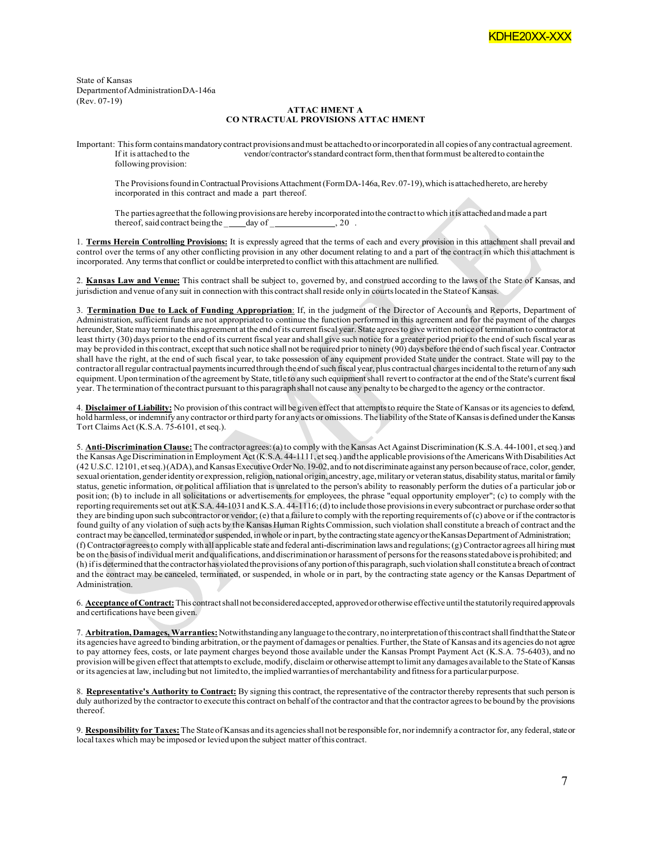State of Kansas DepartmentofAdministrationDA-146a (Rev. 07-19)

#### **ATTAC HMENT A CO NTRACTUAL PROVISIONS ATTAC HMENT**

Important: This form contains mandatory contract provisions and must be attached to or incorporated in all copies of any contractual agreement.<br>If it is attached to the vendor/contractor's standard contract form, then that vendor/contractor's standard contract form, then that form must be altered to contain the following provision:

The Provisions found in Contractual Provisions Attachment (Form DA-146a, Rev.07-19), which is attached hereto, are hereby incorporated in this contract and made a part thereof.

The parties agreethat the following provisions are hereby incorporated into the contract to which it is attached and made a part thereof, said contract being the  $\frac{1}{2}$  day of  $\frac{1}{2}$ , 20.

1. **Terms Herein Controlling Provisions:** It is expressly agreed that the terms of each and every provision in this attachment shall prevail and control over the terms of any other conflicting provision in any other document relating to and a part of the contract in which this attachment is incorporated. Any termsthat conflict or couldbe interpreted to conflict with this attachment are nullified.

2. **Kansas Law and Venue:** This contract shall be subject to, governed by, and construed according to the laws of the State of Kansas, and jurisdiction and venue of any suit in connection with this contract shall reside only in courts located in the State of Kansas.

3. **Termination Due to Lack of Funding Appropriation**: If, in the judgment of the Director of Accounts and Reports, Department of Administration, sufficient funds are not appropriated to continue the function performed in this agreement and for the payment of the charges hereunder, State may terminate this agreement at the endof its current fiscal year. State agreesto give written noticeof terminationto contractorat least thirty (30) days priorto the end of its current fiscal year and shall give such notice for a greater period prior to the end of such fiscal year as may be provided in this contract, except that such notice shall not be required prior to ninety (90) days before the end of such fiscal year. Contractor shall have the right, at the end of such fiscal year, to take possession of any equipment provided State under the contract. State will pay to the contractor allregular contractual paymentsincurredthrough the endofsuch fiscal year, plus contractual chargesincidental tothe returnof anysuch equipment. Upon termination of the agreement by State, title to any such equipment shall revert to contractor at the end of the State's current fiscal year. The termination of thecontract pursuant to this paragraph shall not cause any penaltyto be chargedto the agency orthe contractor.

4. **Disclaimer of Liability:** No provision ofthis contract will be given effect that attemptsto require the State of Kansas or its agenciesto defend, hold harmless, or indemnify any contractor or third party for any acts or omissions. The liability of the State of Kansas is defined under the Kansas Tort Claims Act (K.S.A. 75-6101, et seq.).

5. Anti-Discrimination Clause: The contractor agrees: (a) to comply with the Kansas Act Against Discrimination (K.S.A. 44-1001, et seq.) and the Kansas Age Discrimination in Employment Act (K.S.A. 44-1111, et seq.) and the applicable provisions of the Americans With Disabilities Act (42 U.S.C. 12101, etseq.)(ADA), and KansasExecutiveOrderNo. 19-02,and to notdiscriminateagainst anyperson because ofrace, color,gender, sexual orientation, genderidentity or expression, religion, national origin, ancestry, age, military or veteran status, disability status, marital or family status, genetic information, or political affiliation that is unrelated to the person's ability to reasonably perform the duties of a particular job or posit ion; (b) to include in all solicitations or advertisements for employees, the phrase "equal opportunity employer"; (c) to comply with the reporting requirementsset out atK.S.A. 44-1031andK.S.A. 44-1116;(d)to include those provisionsin everysubcontract or purchase ordersothat they are binding upon such subcontractor or vendor; (e) that a failure to comply with the reporting requirements of  $(c)$  above or if the contractor is found guilty of any violation of such acts by the Kansas Human RightsCommission, such violation shall constitute a breach of contract andthe contract may be cancelled, terminated or suspended, in whole or in part, by the contracting state agency or the Kansas Department of Administration; (f) Contractor agreesto comply withall applicable state and federal anti-discrimination laws and regulations;(g)Contractor agrees all hiringmust be on the basis of individual merit and qualifications, and discrimination or harassment of persons for the reasons stated above is prohibited; and (h) ifis determinedthatthe contractorhasviolatedtheprovisions of any portionofthisparagraph,suchviolationshall constitutea breach of contract and the contract may be canceled, terminated, or suspended, in whole or in part, by the contracting state agency or the Kansas Department of Administration.

6. **Acceptance ofContract:**This contractshall notbeconsideredaccepted, approvedorotherwise effectiveuntilthestatutorilyrequiredapprovals and certifications have been given.

7. **Arbitration, Damages, Warranties:**Notwithstandinganylanguageto the contrary, nointerpretationofthiscontractshallfindthattheStateor its agencies have agreed to binding arbitration, orthe payment of damages or penalties. Further, the State of Kansas and its agencies do not agree to pay attorney fees, costs, or late payment charges beyond those available under the Kansas Prompt Payment Act (K.S.A. 75-6403), and no provision will begiven effect that attemptsto exclude, modify, disclaim or otherwise attempt tolimit any damages available to the Stateof Kansas or its agencies at law, includingbut not limitedto, the impliedwarranties of merchantability andfitnessfor a particularpurpose.

8. **Representative's Authority to Contract:** By signing this contract, the representative of the contractor thereby representsthat such person is duly authorized by the contractor to execute this contract on behalf of the contractor and that the contractor agreesto be bound by the provisions thereof.

9. **Responsibility for Taxes:**The StateofKansas and its agenciesshallnot be responsible for, norindemnify a contractorfor, any federal,stateor local taxes which may be imposed or levied upon the subject matter ofthis contract.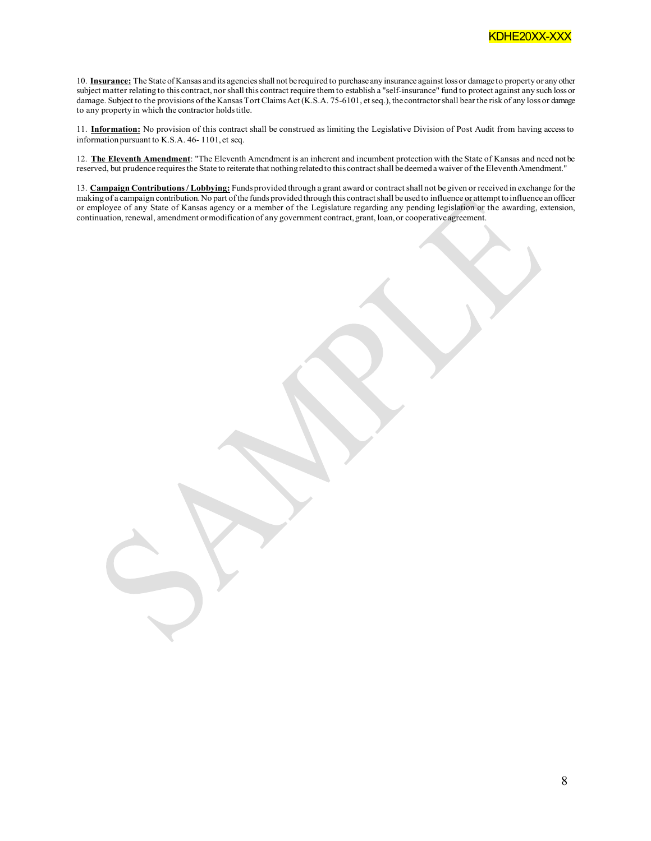

10. **Insurance:** The State ofKansas and its agenciesshall not be required to purchase any insurance against lossor damage to property or anyother subject matter relating to this contract, nor shall this contract require them to establish a "self-insurance" fund to protect against any such loss or damage. Subject to the provisions of the Kansas Tort Claims Act (K.S.A. 75-6101, et seq.), the contractor shall bear the risk of any loss or damage to any property in which the contractor holds title.

11. **Information:** No provision of this contract shall be construed as limiting the Legislative Division of Post Audit from having access to information pursuant to K.S.A. 46- 1101, et seq.

12. **The Eleventh Amendment**: "The Eleventh Amendment is an inherent and incumbent protection with the State of Kansas and need not be reserved, but prudence requires the State to reiterate that nothing related to this contract shall be deemed a waiver of the Eleventh Amendment."

13. **Campaign Contributions/ Lobbying:** Funds provided through a grant award or contractshall not be given or received in exchange for the making of a campaign contribution.No part ofthe funds provided through this contractshall beusedto influence or attempt toinfluence an officer or employee of any State of Kansas agency or a member of the Legislature regarding any pending legislation or the awarding, extension, continuation, renewal, amendment ormodificationof any government contract,grant, loan,or cooperativeagreement.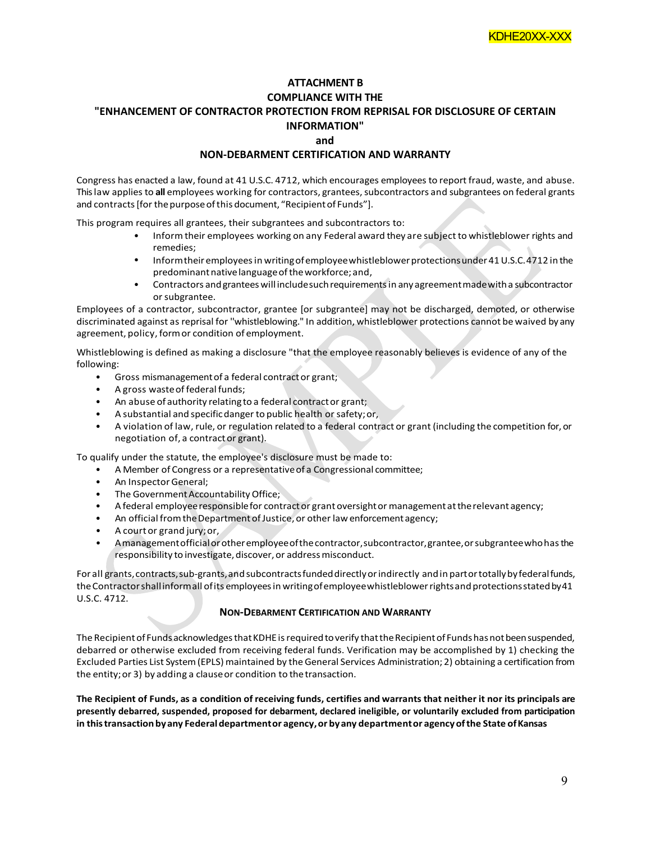## **ATTACHMENT B COMPLIANCE WITH THE "ENHANCEMENT OF CONTRACTOR PROTECTION FROM REPRISAL FOR DISCLOSURE OF CERTAIN INFORMATION" and**

#### **NON-DEBARMENT CERTIFICATION AND WARRANTY**

Congress has enacted a law, found at 41 U.S.C. 4712, which encourages employees to report fraud, waste, and abuse. This law applies to all employees working for contractors, grantees, subcontractors and subgrantees on federal grants and contracts [for the purpose of this document, "Recipient of Funds"].

This program requires all grantees, their subgrantees and subcontractors to:

- Informtheir employees working on any Federal award they are subject to whistleblower rights and remedies;
- Inform their employees in writing of employee whistleblower protections under 41 U.S.C. 4712 in the predominant native language of the workforce; and,
- Contractors and grantees will include such requirements in any agreement made with a subcontractor or subgrantee.

Employees of a contractor, subcontractor, grantee [or subgrantee] may not be discharged, demoted, or otherwise discriminated against as reprisal for ''whistleblowing." In addition, whistleblower protections cannot be waived by any agreement, policy, formor condition of employment.

Whistleblowing is defined as making a disclosure "that the employee reasonably believes is evidence of any of the following:

- Gross mismanagementof a federal contractor grant;
- A gross wasteof federal funds;
- An abuse of authority relating to a federal contractor grant;
- A substantial and specificdanger to public health orsafety;or,
- A violation of law, rule, or regulation related to a federal contract or grant (including the competition for, or negotiation of, a contractor grant).

To qualify under the statute, the employee's disclosure must be made to:

- A Member of Congress or a representativeof a Congressional committee;
- An Inspector General;
- The Government Accountability Office;
- A federal employee responsible for contract or grant oversight or management at the relevant agency;
- An official from the Department of Justice, or other law enforcement agency;
- A court or grand jury;or,
- Amanagement official or other employee of the contractor, subcontractor, grantee, or subgrantee who has the responsibility to investigate, discover, or address misconduct.

For all grants, contracts, sub-grants, and subcontracts funded directly or indirectly and in part or totally by federal funds, theContractorshallinformall ofits employeesin writingofemployeewhistleblowerrightsandprotectionsstatedby41 U.S.C. 4712.

#### **NON-DEBARMENT CERTIFICATION AND WARRANTY**

The Recipient of Funds acknowledges that KDHE is required to verify that the Recipient of Funds has not been suspended, debarred or otherwise excluded from receiving federal funds. Verification may be accomplished by 1) checking the Excluded Parties List System(EPLS) maintained by theGeneral Services Administration; 2) obtaining a certification from the entity;or 3) by adding a clauseor condition to thetransaction.

The Recipient of Funds, as a condition of receiving funds, certifies and warrants that neither it nor its principals are **presently debarred, suspended, proposed for debarment, declared ineligible, or voluntarily excluded from participation in thistransactionbyany Federaldepartmentor agency,or byany departmentor agencyofthe State ofKansas**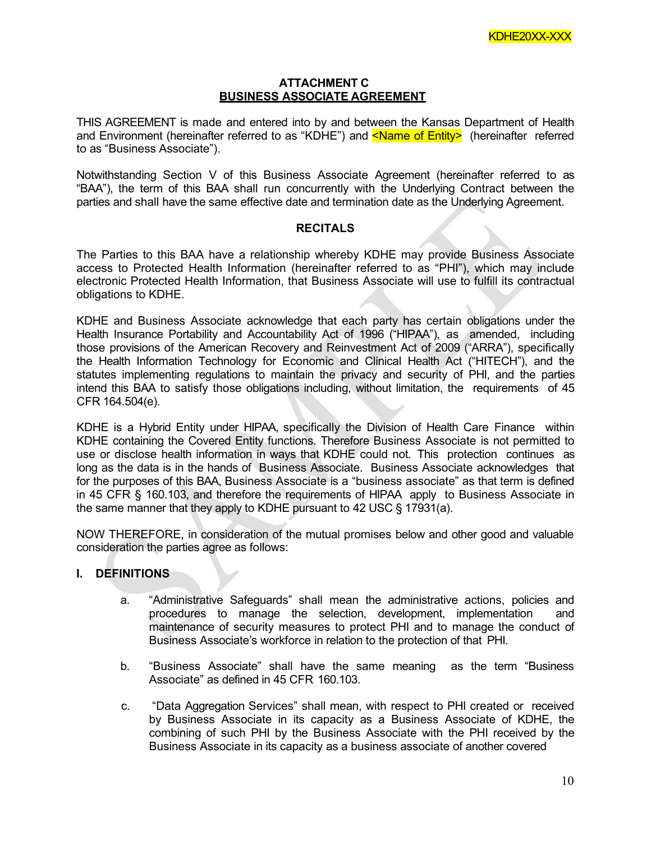#### **ATTACHMENT C BUSINESS ASSOCIATE AGREEMENT**

THIS AGREEMENT is made and entered into by and between the Kansas Department of Health and Environment (hereinafter referred to as "KDHE") and <Name of Entity> (hereinafter referred to as "Business Associate").

Notwithstanding Section V of this Business Associate Agreement (hereinafter referred to as "BAA"), the term of this BAA shall run concurrently with the Underlying Contract between the parties and shall have the same effective date and termination date as the Underlying Agreement.

## **RECITALS**

The Parties to this BAA have a relationship whereby KDHE may provide Business Associate access to Protected Health Information (hereinafter referred to as "PHI"), which may include electronic Protected Health Information, that Business Associate will use to fulfill its contractual obligations to KDHE.

KDHE and Business Associate acknowledge that each party has certain obligations under the Health Insurance Portability and Accountability Act of 1996 ("HIPAA"), as amended, including those provisions of the American Recovery and Reinvestment Act of 2009 ("ARRA"), specifically the Health Information Technology for Economic and Clinical Health Act ("HITECH"), and the statutes implementing regulations to maintain the privacy and security of PHI, and the parties intend this BAA to satisfy those obligations including, without limitation, the requirements of 45 CFR 164.504(e).

KDHE is a Hybrid Entity under HIPAA, specifically the Division of Health Care Finance within KDHE containing the Covered Entity functions. Therefore Business Associate is not permitted to use or disclose health information in ways that KDHE could not. This protection continues as long as the data is in the hands of Business Associate. Business Associate acknowledges that for the purposes of this BAA, Business Associate is a "business associate" as that term is defined in 45 CFR § 160.103, and therefore the requirements of HIPAA apply to Business Associate in the same manner that they apply to KDHE pursuant to 42 USC § 17931(a).

NOW THEREFORE, in consideration of the mutual promises below and other good and valuable consideration the parties agree as follows:

# **I. DEFINITIONS**

- a. "Administrative Safeguards" shall mean the administrative actions, policies and procedures to manage the selection, development, implementation and maintenance of security measures to protect PHI and to manage the conduct of Business Associate's workforce in relation to the protection of that PHI.
- b. "Business Associate" shall have the same meaning as the term "Business Associate" as defined in 45 CFR 160.103.
- c. "Data Aggregation Services" shall mean, with respect to PHI created or received by Business Associate in its capacity as a Business Associate of KDHE, the combining of such PHI by the Business Associate with the PHI received by the Business Associate in its capacity as a business associate of another covered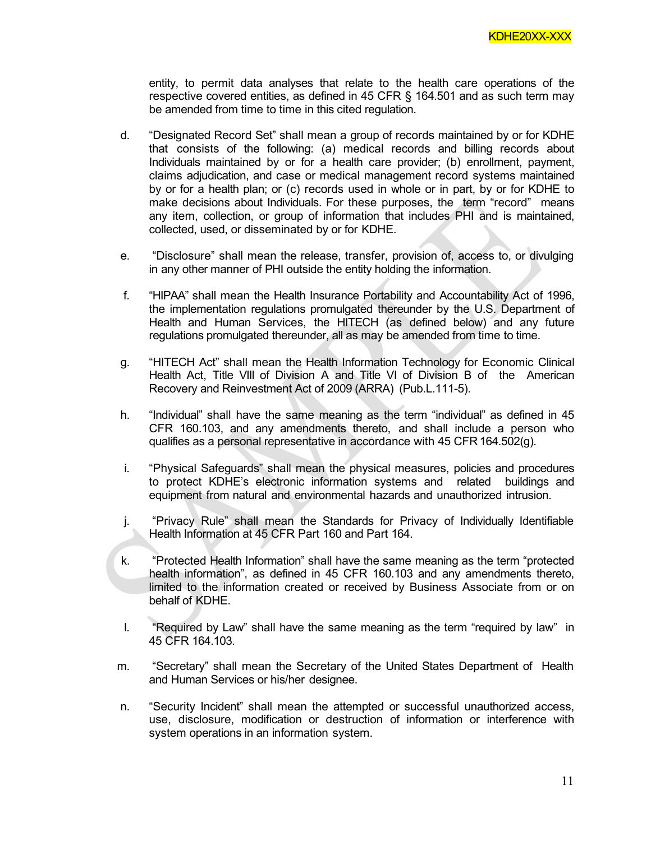entity, to permit data analyses that relate to the health care operations of the respective covered entities, as defined in 45 CFR § 164.501 and as such term may be amended from time to time in this cited regulation.

- d. "Designated Record Set" shall mean a group of records maintained by or for KDHE that consists of the following: (a) medical records and billing records about Individuals maintained by or for a health care provider; (b) enrollment, payment, claims adjudication, and case or medical management record systems maintained by or for a health plan; or (c) records used in whole or in part, by or for KDHE to make decisions about Individuals. For these purposes, the term "record" means any item, collection, or group of information that includes PHI and is maintained, collected, used, or disseminated by or for KDHE.
- e. "Disclosure" shall mean the release, transfer, provision of, access to, or divulging in any other manner of PHI outside the entity holding the information.
- f. "HIPAA" shall mean the Health Insurance Portability and Accountability Act of 1996, the implementation regulations promulgated thereunder by the U.S. Department of Health and Human Services, the HITECH (as defined below) and any future regulations promulgated thereunder, all as may be amended from time to time.
- g. "HITECH Act" shall mean the Health Information Technology for Economic Clinical Health Act, Title VIII of Division A and Title VI of Division B of the American Recovery and Reinvestment Act of 2009 (ARRA) (Pub.L.111-5).
- h. "Individual" shall have the same meaning as the term "individual" as defined in 45 CFR 160.103, and any amendments thereto, and shall include a person who qualifies as a personal representative in accordance with 45 CFR 164.502(g).
- i. "Physical Safeguards" shall mean the physical measures, policies and procedures to protect KDHE's electronic information systems and related buildings and equipment from natural and environmental hazards and unauthorized intrusion.
- j. "Privacy Rule" shall mean the Standards for Privacy of Individually Identifiable Health Information at 45 CFR Part 160 and Part 164.
- k. "Protected Health Information" shall have the same meaning as the term "protected health information", as defined in 45 CFR 160.103 and any amendments thereto, limited to the information created or received by Business Associate from or on behalf of KDHE.
- l. "Required by Law" shall have the same meaning as the term "required by law" in 45 CFR 164.103.
- m. "Secretary" shall mean the Secretary of the United States Department of Health and Human Services or his/her designee.
- n. "Security Incident" shall mean the attempted or successful unauthorized access, use, disclosure, modification or destruction of information or interference with system operations in an information system.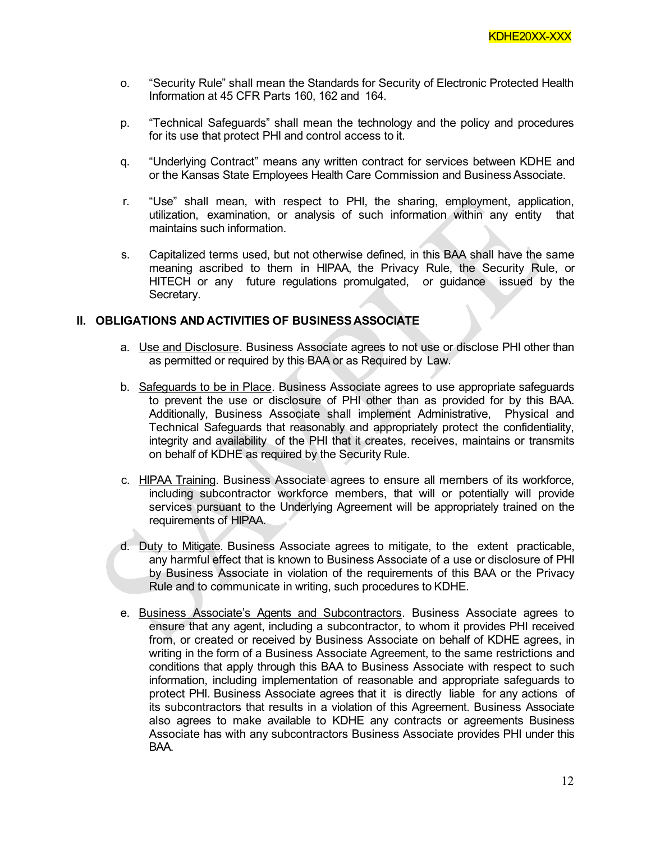- o. "Security Rule" shall mean the Standards for Security of Electronic Protected Health Information at 45 CFR Parts 160, 162 and 164.
- p. "Technical Safeguards" shall mean the technology and the policy and procedures for its use that protect PHI and control access to it.
- q. "Underlying Contract" means any written contract for services between KDHE and or the Kansas State Employees Health Care Commission and Business Associate.
- r. "Use" shall mean, with respect to PHI, the sharing, employment, application, utilization, examination, or analysis of such information within any entity that maintains such information.
- s. Capitalized terms used, but not otherwise defined, in this BAA shall have the same meaning ascribed to them in HIPAA, the Privacy Rule, the Security Rule, or HITECH or any future regulations promulgated, or guidance issued by the Secretary.

#### **II. OBLIGATIONS AND ACTIVITIES OF BUSINESSASSOCIATE**

- a. Use and Disclosure. Business Associate agrees to not use or disclose PHI other than as permitted or required by this BAA or as Required by Law.
- b. Safeguards to be in Place. Business Associate agrees to use appropriate safeguards to prevent the use or disclosure of PHI other than as provided for by this BAA. Additionally, Business Associate shall implement Administrative, Physical and Technical Safeguards that reasonably and appropriately protect the confidentiality, integrity and availability of the PHI that it creates, receives, maintains or transmits on behalf of KDHE as required by the Security Rule.
- c. HIPAA Training. Business Associate agrees to ensure all members of its workforce, including subcontractor workforce members, that will or potentially will provide services pursuant to the Underlying Agreement will be appropriately trained on the requirements of HIPAA.
- d. Duty to Mitigate. Business Associate agrees to mitigate, to the extent practicable, any harmful effect that is known to Business Associate of a use or disclosure of PHI by Business Associate in violation of the requirements of this BAA or the Privacy Rule and to communicate in writing, such procedures to KDHE.
- e. Business Associate's Agents and Subcontractors. Business Associate agrees to ensure that any agent, including a subcontractor, to whom it provides PHI received from, or created or received by Business Associate on behalf of KDHE agrees, in writing in the form of a Business Associate Agreement, to the same restrictions and conditions that apply through this BAA to Business Associate with respect to such information, including implementation of reasonable and appropriate safeguards to protect PHI. Business Associate agrees that it is directly liable for any actions of its subcontractors that results in a violation of this Agreement. Business Associate also agrees to make available to KDHE any contracts or agreements Business Associate has with any subcontractors Business Associate provides PHI under this BAA.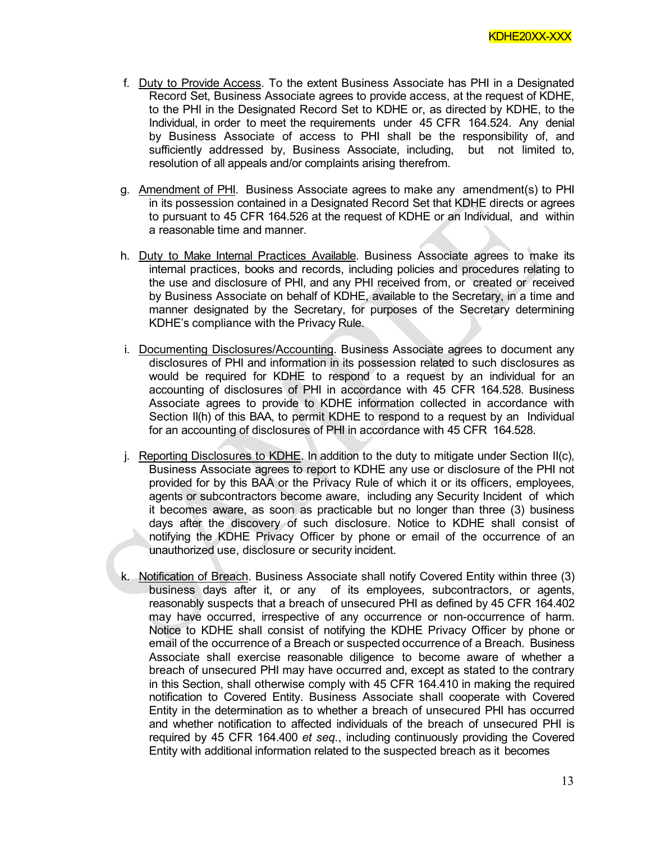- f. Duty to Provide Access. To the extent Business Associate has PHI in a Designated Record Set, Business Associate agrees to provide access, at the request of KDHE, to the PHI in the Designated Record Set to KDHE or, as directed by KDHE, to the Individual, in order to meet the requirements under 45 CFR 164.524. Any denial by Business Associate of access to PHI shall be the responsibility of, and sufficiently addressed by, Business Associate, including, but not limited to, resolution of all appeals and/or complaints arising therefrom.
- g. Amendment of PHI. Business Associate agrees to make any amendment(s) to PHI in its possession contained in a Designated Record Set that KDHE directs or agrees to pursuant to 45 CFR 164.526 at the request of KDHE or an Individual, and within a reasonable time and manner.
- h. Duty to Make Internal Practices Available. Business Associate agrees to make its internal practices, books and records, including policies and procedures relating to the use and disclosure of PHI, and any PHI received from, or created or received by Business Associate on behalf of KDHE, available to the Secretary, in a time and manner designated by the Secretary, for purposes of the Secretary determining KDHE's compliance with the Privacy Rule.
- i. Documenting Disclosures/Accounting. Business Associate agrees to document any disclosures of PHI and information in its possession related to such disclosures as would be required for KDHE to respond to a request by an individual for an accounting of disclosures of PHI in accordance with 45 CFR 164.528. Business Associate agrees to provide to KDHE information collected in accordance with Section II(h) of this BAA, to permit KDHE to respond to a request by an Individual for an accounting of disclosures of PHI in accordance with 45 CFR 164.528.
- j. Reporting Disclosures to KDHE. In addition to the duty to mitigate under Section II(c), Business Associate agrees to report to KDHE any use or disclosure of the PHI not provided for by this BAA or the Privacy Rule of which it or its officers, employees, agents or subcontractors become aware, including any Security Incident of which it becomes aware, as soon as practicable but no longer than three (3) business days after the discovery of such disclosure. Notice to KDHE shall consist of notifying the KDHE Privacy Officer by phone or email of the occurrence of an unauthorized use, disclosure or security incident.
- k. Notification of Breach. Business Associate shall notify Covered Entity within three (3) business days after it, or any of its employees, subcontractors, or agents, reasonably suspects that a breach of unsecured PHI as defined by 45 CFR 164.402 may have occurred, irrespective of any occurrence or non-occurrence of harm. Notice to KDHE shall consist of notifying the KDHE Privacy Officer by phone or email of the occurrence of a Breach or suspected occurrence of a Breach. Business Associate shall exercise reasonable diligence to become aware of whether a breach of unsecured PHI may have occurred and, except as stated to the contrary in this Section, shall otherwise comply with 45 CFR 164.410 in making the required notification to Covered Entity. Business Associate shall cooperate with Covered Entity in the determination as to whether a breach of unsecured PHI has occurred and whether notification to affected individuals of the breach of unsecured PHI is required by 45 CFR 164.400 *et seq.*, including continuously providing the Covered Entity with additional information related to the suspected breach as it becomes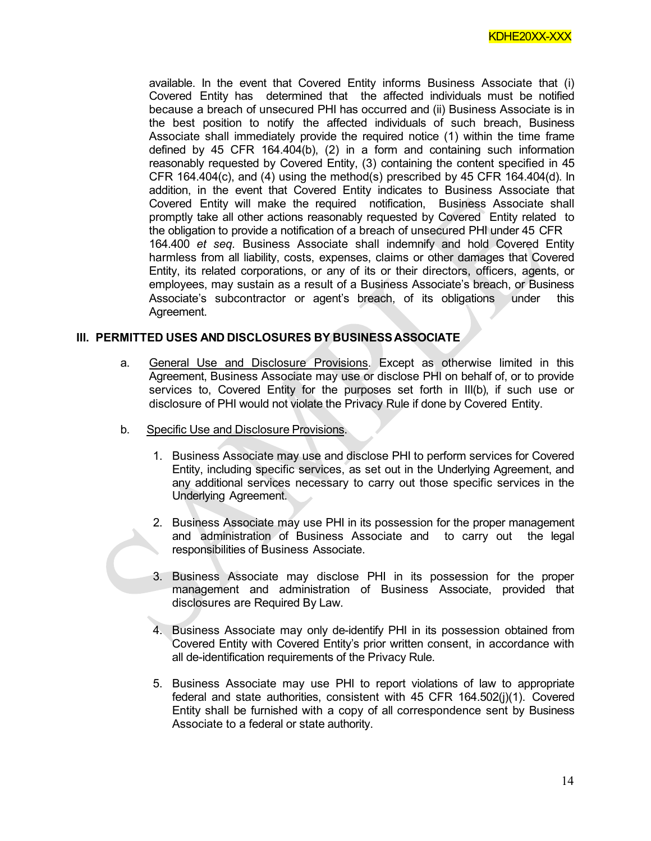available. In the event that Covered Entity informs Business Associate that (i) Covered Entity has determined that the affected individuals must be notified because a breach of unsecured PHI has occurred and (ii) Business Associate is in the best position to notify the affected individuals of such breach, Business Associate shall immediately provide the required notice (1) within the time frame defined by 45 CFR 164.404(b), (2) in a form and containing such information reasonably requested by Covered Entity, (3) containing the content specified in 45 CFR 164.404 $(c)$ , and  $(4)$  using the method(s) prescribed by 45 CFR 164.404 $(d)$ . In addition, in the event that Covered Entity indicates to Business Associate that Covered Entity will make the required notification, Business Associate shall promptly take all other actions reasonably requested by Covered Entity related to the obligation to provide a notification of a breach of unsecured PHI under 45 CFR 164.400 *et seq.* Business Associate shall indemnify and hold Covered Entity harmless from all liability, costs, expenses, claims or other damages that Covered Entity, its related corporations, or any of its or their directors, officers, agents, or employees, may sustain as a result of a Business Associate's breach, or Business Associate's subcontractor or agent's breach, of its obligations under this Agreement.

# **III. PERMITTED USES AND DISCLOSURES BY BUSINESSASSOCIATE**

- a. General Use and Disclosure Provisions. Except as otherwise limited in this Agreement, Business Associate may use or disclose PHI on behalf of, or to provide services to, Covered Entity for the purposes set forth in III(b), if such use or disclosure of PHI would not violate the Privacy Rule if done by Covered Entity.
- b. Specific Use and Disclosure Provisions.
	- 1. Business Associate may use and disclose PHI to perform services for Covered Entity, including specific services, as set out in the Underlying Agreement, and any additional services necessary to carry out those specific services in the Underlying Agreement.
	- 2. Business Associate may use PHI in its possession for the proper management and administration of Business Associate and to carry out the legal responsibilities of Business Associate.
	- 3. Business Associate may disclose PHI in its possession for the proper management and administration of Business Associate, provided that disclosures are Required By Law.
	- 4. Business Associate may only de-identify PHI in its possession obtained from Covered Entity with Covered Entity's prior written consent, in accordance with all de-identification requirements of the Privacy Rule.
	- 5. Business Associate may use PHI to report violations of law to appropriate federal and state authorities, consistent with 45 CFR 164.502(j)(1). Covered Entity shall be furnished with a copy of all correspondence sent by Business Associate to a federal or state authority.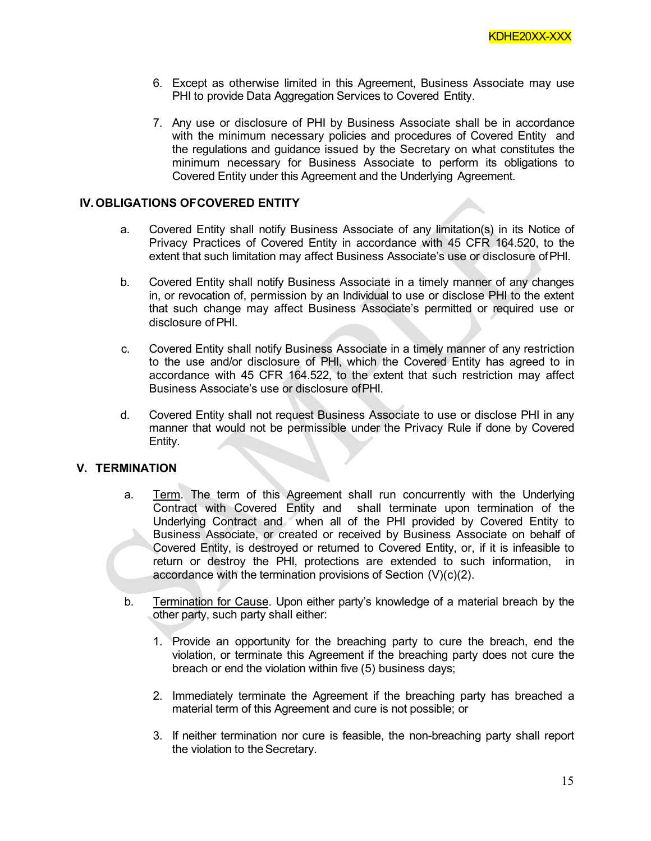- 6. Except as otherwise limited in this Agreement, Business Associate may use PHI to provide Data Aggregation Services to Covered Entity.
- 7. Any use or disclosure of PHI by Business Associate shall be in accordance with the minimum necessary policies and procedures of Covered Entity and the regulations and guidance issued by the Secretary on what constitutes the minimum necessary for Business Associate to perform its obligations to Covered Entity under this Agreement and the Underlying Agreement.

## **IV. OBLIGATIONS OFCOVERED ENTITY**

- a. Covered Entity shall notify Business Associate of any limitation(s) in its Notice of Privacy Practices of Covered Entity in accordance with 45 CFR 164.520, to the extent that such limitation may affect Business Associate's use or disclosure ofPHI.
- b. Covered Entity shall notify Business Associate in a timely manner of any changes in, or revocation of, permission by an Individual to use or disclose PHI to the extent that such change may affect Business Associate's permitted or required use or disclosure ofPHI.
- c. Covered Entity shall notify Business Associate in a timely manner of any restriction to the use and/or disclosure of PHI, which the Covered Entity has agreed to in accordance with 45 CFR 164.522, to the extent that such restriction may affect Business Associate's use or disclosure ofPHI.
- d. Covered Entity shall not request Business Associate to use or disclose PHI in any manner that would not be permissible under the Privacy Rule if done by Covered Entity.

#### **V. TERMINATION**

- a. Term. The term of this Agreement shall run concurrently with the Underlying Contract with Covered Entity and shall terminate upon termination of the Underlying Contract and when all of the PHI provided by Covered Entity to Business Associate, or created or received by Business Associate on behalf of Covered Entity, is destroyed or returned to Covered Entity, or, if it is infeasible to return or destroy the PHI, protections are extended to such information, in accordance with the termination provisions of Section (V)(c)(2).
- b. Termination for Cause. Upon either party's knowledge of a material breach by the other party, such party shall either:
	- 1. Provide an opportunity for the breaching party to cure the breach, end the violation, or terminate this Agreement if the breaching party does not cure the breach or end the violation within five (5) business days;
	- 2. Immediately terminate the Agreement if the breaching party has breached a material term of this Agreement and cure is not possible; or
	- 3. If neither termination nor cure is feasible, the non-breaching party shall report the violation to the Secretary.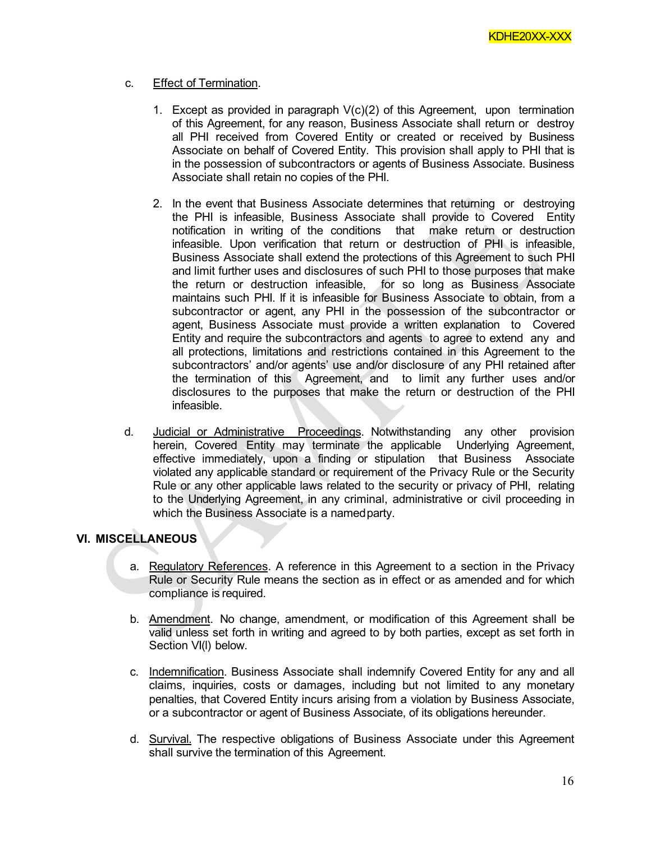# c. Effect of Termination.

- 1. Except as provided in paragraph  $V(c)(2)$  of this Agreement, upon termination of this Agreement, for any reason, Business Associate shall return or destroy all PHI received from Covered Entity or created or received by Business Associate on behalf of Covered Entity. This provision shall apply to PHI that is in the possession of subcontractors or agents of Business Associate. Business Associate shall retain no copies of the PHI.
- 2. In the event that Business Associate determines that returning or destroying the PHI is infeasible, Business Associate shall provide to Covered Entity notification in writing of the conditions that make return or destruction infeasible. Upon verification that return or destruction of PHI is infeasible, Business Associate shall extend the protections of this Agreement to such PHI and limit further uses and disclosures of such PHI to those purposes that make the return or destruction infeasible, for so long as Business Associate maintains such PHI. If it is infeasible for Business Associate to obtain, from a subcontractor or agent, any PHI in the possession of the subcontractor or agent, Business Associate must provide a written explanation to Covered Entity and require the subcontractors and agents to agree to extend any and all protections, limitations and restrictions contained in this Agreement to the subcontractors' and/or agents' use and/or disclosure of any PHI retained after the termination of this Agreement, and to limit any further uses and/or disclosures to the purposes that make the return or destruction of the PHI infeasible.
- d. Judicial or Administrative Proceedings. Notwithstanding any other provision herein, Covered Entity may terminate the applicable Underlying Agreement, effective immediately, upon a finding or stipulation that Business Associate violated any applicable standard or requirement of the Privacy Rule or the Security Rule or any other applicable laws related to the security or privacy of PHI, relating to the Underlying Agreement, in any criminal, administrative or civil proceeding in which the Business Associate is a namedparty.

# **VI. MISCELLANEOUS**

- a. Regulatory References. A reference in this Agreement to a section in the Privacy Rule or Security Rule means the section as in effect or as amended and for which compliance is required.
- b. Amendment. No change, amendment, or modification of this Agreement shall be valid unless set forth in writing and agreed to by both parties, except as set forth in Section VI(l) below.
- c. Indemnification. Business Associate shall indemnify Covered Entity for any and all claims, inquiries, costs or damages, including but not limited to any monetary penalties, that Covered Entity incurs arising from a violation by Business Associate, or a subcontractor or agent of Business Associate, of its obligations hereunder.
- d. Survival. The respective obligations of Business Associate under this Agreement shall survive the termination of this Agreement.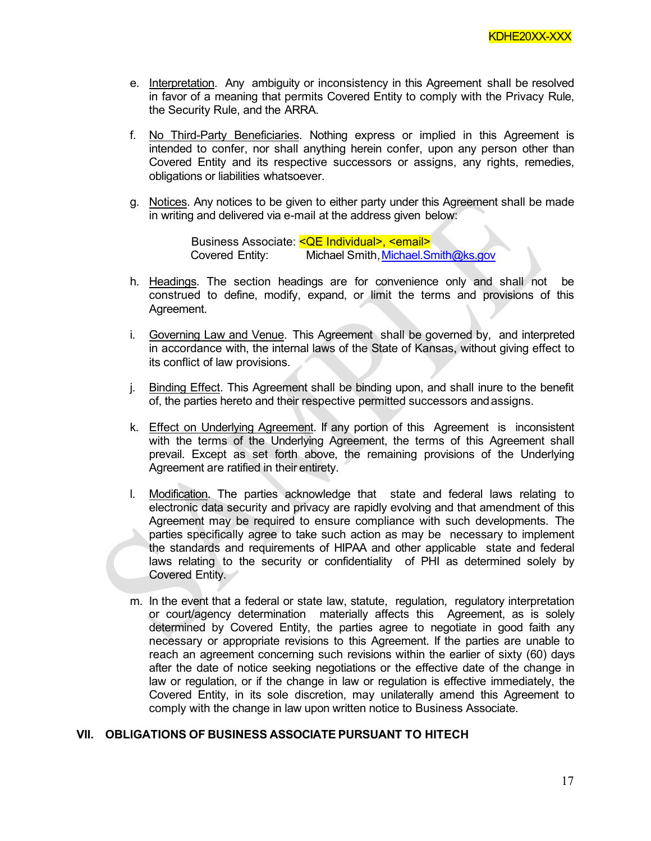- e. Interpretation. Any ambiguity or inconsistency in this Agreement shall be resolved in favor of a meaning that permits Covered Entity to comply with the Privacy Rule, the Security Rule, and the ARRA.
- f. No Third-Party Beneficiaries. Nothing express or implied in this Agreement is intended to confer, nor shall anything herein confer, upon any person other than Covered Entity and its respective successors or assigns, any rights, remedies, obligations or liabilities whatsoever.
- g. Notices. Any notices to be given to either party under this Agreement shall be made in writing and delivered via e-mail at the address given below:

Business Associate: < QE Individual>, < email> Covered Entity: Michael Smith[,Michael.Smith@ks.gov](mailto:Michael.Smith@ks.gov)

- h. Headings. The section headings are for convenience only and shall not be construed to define, modify, expand, or limit the terms and provisions of this Agreement.
- i. Governing Law and Venue. This Agreement shall be governed by, and interpreted in accordance with, the internal laws of the State of Kansas, without giving effect to its conflict of law provisions.
- j. Binding Effect. This Agreement shall be binding upon, and shall inure to the benefit of, the parties hereto and their respective permitted successors andassigns.
- k. Effect on Underlying Agreement. If any portion of this Agreement is inconsistent with the terms of the Underlying Agreement, the terms of this Agreement shall prevail. Except as set forth above, the remaining provisions of the Underlying Agreement are ratified in their entirety.
- l. Modification. The parties acknowledge that state and federal laws relating to electronic data security and privacy are rapidly evolving and that amendment of this Agreement may be required to ensure compliance with such developments. The parties specifically agree to take such action as may be necessary to implement the standards and requirements of HIPAA and other applicable state and federal laws relating to the security or confidentiality of PHI as determined solely by Covered Entity.
- m. In the event that a federal or state law, statute, regulation, regulatory interpretation or court/agency determination materially affects this Agreement, as is solely determined by Covered Entity, the parties agree to negotiate in good faith any necessary or appropriate revisions to this Agreement. If the parties are unable to reach an agreement concerning such revisions within the earlier of sixty (60) days after the date of notice seeking negotiations or the effective date of the change in law or regulation, or if the change in law or regulation is effective immediately, the Covered Entity, in its sole discretion, may unilaterally amend this Agreement to comply with the change in law upon written notice to Business Associate.

## **VII. OBLIGATIONS OF BUSINESS ASSOCIATE PURSUANT TO HITECH**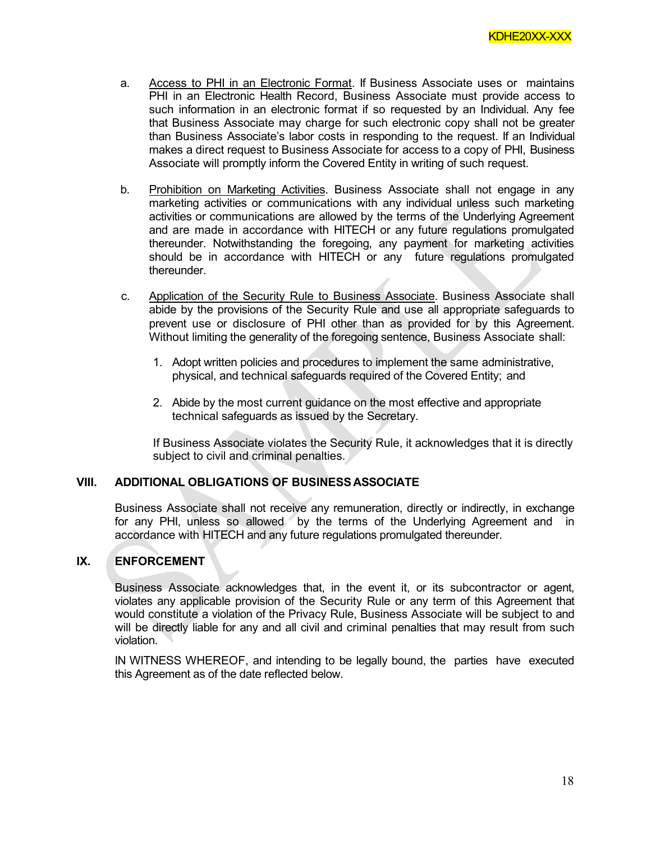- a. Access to PHI in an Electronic Format. If Business Associate uses or maintains PHI in an Electronic Health Record, Business Associate must provide access to such information in an electronic format if so requested by an Individual. Any fee that Business Associate may charge for such electronic copy shall not be greater than Business Associate's labor costs in responding to the request. If an Individual makes a direct request to Business Associate for access to a copy of PHI, Business Associate will promptly inform the Covered Entity in writing of such request.
- b. Prohibition on Marketing Activities. Business Associate shall not engage in any marketing activities or communications with any individual unless such marketing activities or communications are allowed by the terms of the Underlying Agreement and are made in accordance with HITECH or any future regulations promulgated thereunder. Notwithstanding the foregoing, any payment for marketing activities should be in accordance with HITECH or any future regulations promulgated thereunder.
- c. Application of the Security Rule to Business Associate. Business Associate shall abide by the provisions of the Security Rule and use all appropriate safeguards to prevent use or disclosure of PHI other than as provided for by this Agreement. Without limiting the generality of the foregoing sentence, Business Associate shall:
	- 1. Adopt written policies and procedures to implement the same administrative, physical, and technical safeguards required of the Covered Entity; and
	- 2. Abide by the most current guidance on the most effective and appropriate technical safeguards as issued by the Secretary.

If Business Associate violates the Security Rule, it acknowledges that it is directly subject to civil and criminal penalties.

#### **VIII. ADDITIONAL OBLIGATIONS OF BUSINESSASSOCIATE**

Business Associate shall not receive any remuneration, directly or indirectly, in exchange for any PHI, unless so allowed by the terms of the Underlying Agreement and in accordance with HITECH and any future regulations promulgated thereunder.

# **IX. ENFORCEMENT**

Business Associate acknowledges that, in the event it, or its subcontractor or agent, violates any applicable provision of the Security Rule or any term of this Agreement that would constitute a violation of the Privacy Rule, Business Associate will be subject to and will be directly liable for any and all civil and criminal penalties that may result from such violation.

IN WITNESS WHEREOF, and intending to be legally bound, the parties have executed this Agreement as of the date reflected below.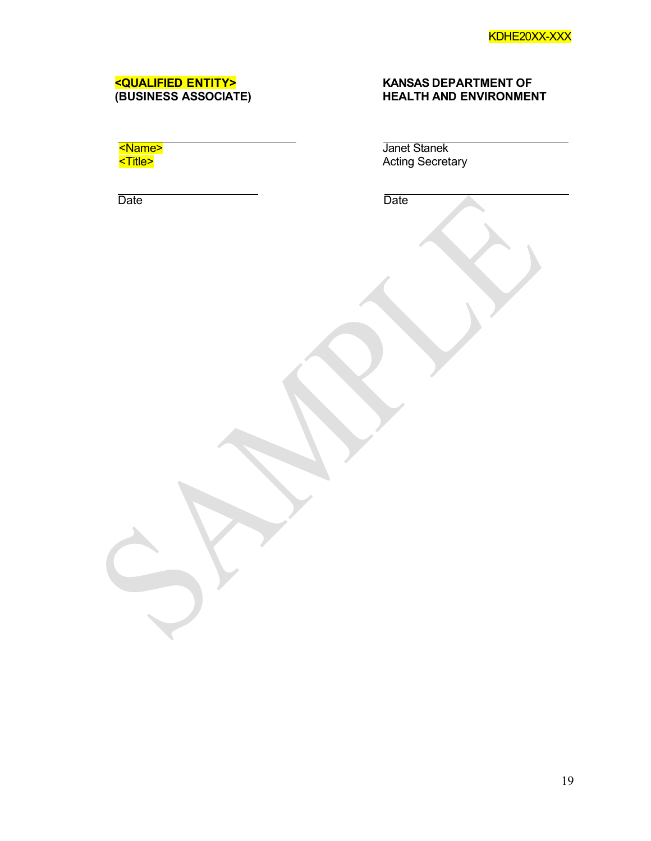# **<QUALIFIED ENTITY> KANSAS DEPARTMENT OF (BUSINESS ASSOCIATE) HEALTH AND ENVIRONMENT**

| Name:                        |  |
|------------------------------|--|
| <mark><title></title></mark> |  |

Date **Date Date Date Date** 

Janet Stanek Acting Secretary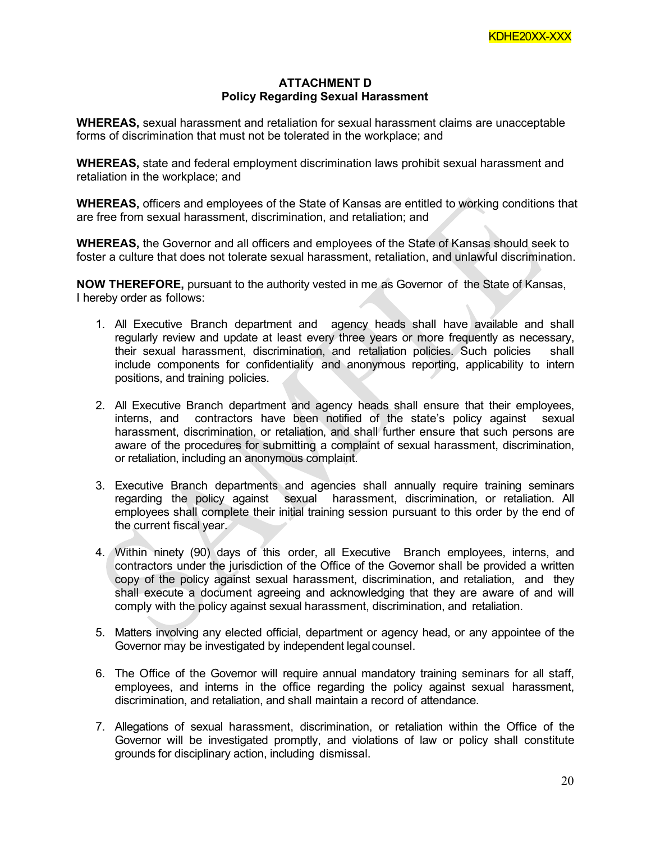# **ATTACHMENT D Policy Regarding Sexual Harassment**

**WHEREAS,** sexual harassment and retaliation for sexual harassment claims are unacceptable forms of discrimination that must not be tolerated in the workplace; and

**WHEREAS,** state and federal employment discrimination laws prohibit sexual harassment and retaliation in the workplace; and

**WHEREAS,** officers and employees of the State of Kansas are entitled to working conditions that are free from sexual harassment, discrimination, and retaliation; and

**WHEREAS,** the Governor and all officers and employees of the State of Kansas should seek to foster a culture that does not tolerate sexual harassment, retaliation, and unlawful discrimination.

**NOW THEREFORE,** pursuant to the authority vested in me as Governor of the State of Kansas, I hereby order as follows:

- 1. All Executive Branch department and agency heads shall have available and shall regularly review and update at least every three years or more frequently as necessary, their sexual harassment, discrimination, and retaliation policies. Such policies shall include components for confidentiality and anonymous reporting, applicability to intern positions, and training policies.
- 2. All Executive Branch department and agency heads shall ensure that their employees, interns, and contractors have been notified of the state's policy against sexual harassment, discrimination, or retaliation, and shall further ensure that such persons are aware of the procedures for submitting a complaint of sexual harassment, discrimination, or retaliation, including an anonymous complaint.
- 3. Executive Branch departments and agencies shall annually require training seminars regarding the policy against sexual harassment, discrimination, or retaliation. All employees shall complete their initial training session pursuant to this order by the end of the current fiscal year.
- 4. Within ninety (90) days of this order, all Executive Branch employees, interns, and contractors under the jurisdiction of the Office of the Governor shall be provided a written copy of the policy against sexual harassment, discrimination, and retaliation, and they shall execute a document agreeing and acknowledging that they are aware of and will comply with the policy against sexual harassment, discrimination, and retaliation.
- 5. Matters involving any elected official, department or agency head, or any appointee of the Governor may be investigated by independent legal counsel.
- 6. The Office of the Governor will require annual mandatory training seminars for all staff, employees, and interns in the office regarding the policy against sexual harassment, discrimination, and retaliation, and shall maintain a record of attendance.
- 7. Allegations of sexual harassment, discrimination, or retaliation within the Office of the Governor will be investigated promptly, and violations of law or policy shall constitute grounds for disciplinary action, including dismissal.